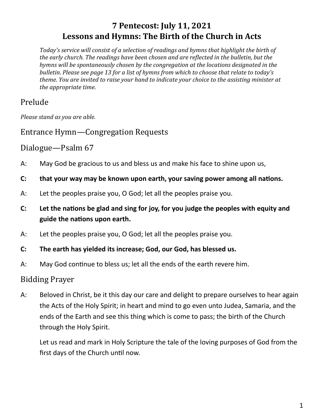# **7 Pentecost: July 11, 2021 Lessons and Hymns: The Birth of the Church in Acts**

*Today's service will consist of a selection of readings and hymns that highlight the birth of the early church. The readings have been chosen and are reflected in the bulletin, but the hymns will be spontaneously chosen by the congregation at the locations designated in the bulletin. Please see page 13 for a list of hymns from which to choose that relate to today's theme. You are invited to raise your hand to indicate your choice to the assisting minister at the appropriate time.* 

# Prelude

*Please stand as you are able.*

Entrance Hymn—Congregation Requests

## Dialogue—Psalm 67

- A: May God be gracious to us and bless us and make his face to shine upon us,
- **C: that your way may be known upon earth, your saving power among all nations.**
- A: Let the peoples praise you, O God; let all the peoples praise you.
- **C: Let the nations be glad and sing for joy, for you judge the peoples with equity and guide the nations upon earth.**
- A: Let the peoples praise you, O God; let all the peoples praise you.
- **C: The earth has yielded its increase; God, our God, has blessed us.**
- A: May God continue to bless us; let all the ends of the earth revere him.

## Bidding Prayer

A: Beloved in Christ, be it this day our care and delight to prepare ourselves to hear again the Acts of the Holy Spirit; in heart and mind to go even unto Judea, Samaria, and the ends of the Earth and see this thing which is come to pass; the birth of the Church through the Holy Spirit.

Let us read and mark in Holy Scripture the tale of the loving purposes of God from the first days of the Church until now.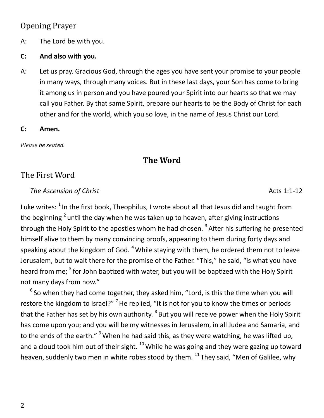## Opening Prayer

A: The Lord be with you.

#### **C: And also with you.**

A: Let us pray. Gracious God, through the ages you have sent your promise to your people in many ways, through many voices. But in these last days, your Son has come to bring it among us in person and you have poured your Spirit into our hearts so that we may call you Father. By that same Spirit, prepare our hearts to be the Body of Christ for each other and for the world, which you so love, in the name of Jesus Christ our Lord.

#### **C: Amen.**

*Please be seated.*

# **The Word**

# The First Word

**The Ascension of Christ** Acts 1:1-12

Luke writes:  $^1$  In the first book, Theophilus, I wrote about all that Jesus did and taught from the beginning <sup>2</sup> until the day when he was taken up to heaven, after giving instructions through the Holy Spirit to the apostles whom he had chosen. <sup>3</sup> After his suffering he presented himself alive to them by many convincing proofs, appearing to them during forty days and speaking about the kingdom of God.  $4$  While staying with them, he ordered them not to leave Jerusalem, but to wait there for the promise of the Father. "This," he said, "is what you have heard from me; <sup>5</sup> for John baptized with water, but you will be baptized with the Holy Spirit not many days from now."

 $6$  So when they had come together, they asked him, "Lord, is this the time when you will restore the kingdom to Israel?"<sup>7</sup> He replied, "It is not for you to know the times or periods that the Father has set by his own authority. <sup>8</sup> But you will receive power when the Holy Spirit has come upon you; and you will be my witnesses in Jerusalem, in all Judea and Samaria, and to the ends of the earth."  $9$  When he had said this, as they were watching, he was lifted up, and a cloud took him out of their sight.  $^{10}$  While he was going and they were gazing up toward heaven, suddenly two men in white robes stood by them.  $^{11}$  They said, "Men of Galilee, why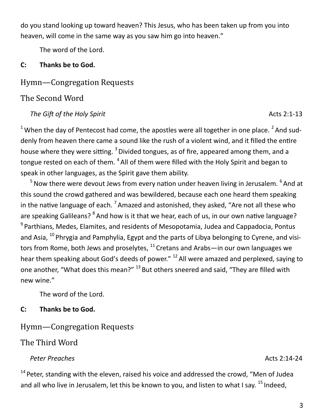do you stand looking up toward heaven? This Jesus, who has been taken up from you into heaven, will come in the same way as you saw him go into heaven."

The word of the Lord.

#### **C: Thanks be to God.**

## Hymn—Congregation Requests

#### The Second Word

#### *The Gift of the Holy Spirit* Acts 2:1-13

<sup>1</sup> When the day of Pentecost had come, the apostles were all together in one place. <sup>2</sup> And suddenly from heaven there came a sound like the rush of a violent wind, and it filled the entire house where they were sitting. <sup>3</sup> Divided tongues, as of fire, appeared among them, and a tongue rested on each of them. <sup>4</sup> All of them were filled with the Holy Spirit and began to speak in other languages, as the Spirit gave them ability.

 $5$  Now there were devout Jews from every nation under heaven living in Jerusalem.  $6$  And at this sound the crowd gathered and was bewildered, because each one heard them speaking in the native language of each. <sup>7</sup> Amazed and astonished, they asked, "Are not all these who are speaking Galileans? <sup>8</sup> And how is it that we hear, each of us, in our own native language? <sup>9</sup> Parthians, Medes, Elamites, and residents of Mesopotamia, Judea and Cappadocia, Pontus and Asia,  $^{10}$  Phrygia and Pamphylia, Egypt and the parts of Libya belonging to Cyrene, and visitors from Rome, both Jews and proselytes,  $^{11}$  Cretans and Arabs—in our own languages we hear them speaking about God's deeds of power."  $^{12}$  All were amazed and perplexed, saying to one another, "What does this mean?" <sup>13</sup> But others sneered and said, "They are filled with new wine."

The word of the Lord.

#### **C: Thanks be to God.**

Hymn—Congregation Requests

The Third Word

#### Peter Preaches Acts 2:14-24

 $14$  Peter, standing with the eleven, raised his voice and addressed the crowd, "Men of Judea and all who live in Jerusalem, let this be known to you, and listen to what I say.  $^{15}$  Indeed,

3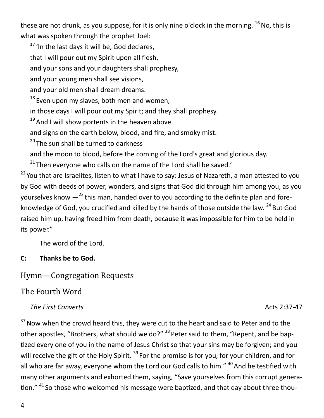these are not drunk, as you suppose, for it is only nine o'clock in the morning.  $^{16}$  No, this is what was spoken through the prophet Joel:

 $17$  'In the last days it will be, God declares.

that I will pour out my Spirit upon all flesh,

and your sons and your daughters shall prophesy,

and your young men shall see visions,

and your old men shall dream dreams.

 $18$  Even upon my slaves, both men and women,

in those days I will pour out my Spirit; and they shall prophesy.

 $19$  And I will show portents in the heaven above

and signs on the earth below, blood, and fire, and smoky mist.

 $20$  The sun shall be turned to darkness

and the moon to blood, before the coming of the Lord's great and glorious day.

 $21$  Then everyone who calls on the name of the Lord shall be saved.'

<sup>22</sup> You that are Israelites, listen to what I have to say: Jesus of Nazareth, a man attested to you by God with deeds of power, wonders, and signs that God did through him among you, as you yourselves know  $-^{23}$  this man, handed over to you according to the definite plan and foreknowledge of God, you crucified and killed by the hands of those outside the law. <sup>24</sup> But God raised him up, having freed him from death, because it was impossible for him to be held in its power."

The word of the Lord.

## **C: Thanks be to God.**

# Hymn—Congregation Requests

# The Fourth Word

## **The First Converts** Acts 2:37-47

 $37$  Now when the crowd heard this, they were cut to the heart and said to Peter and to the other apostles, "Brothers, what should we do?" <sup>38</sup> Peter said to them, "Repent, and be baptized every one of you in the name of Jesus Christ so that your sins may be forgiven; and you will receive the gift of the Holy Spirit. <sup>39</sup> For the promise is for you, for your children, and for all who are far away, everyone whom the Lord our God calls to him." <sup>40</sup> And he testified with many other arguments and exhorted them, saying, "Save yourselves from this corrupt generation." <sup>41</sup> So those who welcomed his message were baptized, and that day about three thou-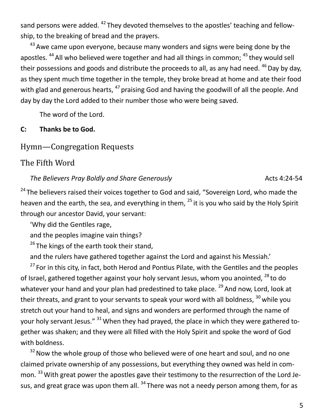sand persons were added. <sup>42</sup> They devoted themselves to the apostles' teaching and fellowship, to the breaking of bread and the prayers.

 $43$  Awe came upon evervone, because many wonders and signs were being done by the apostles.  $44$  All who believed were together and had all things in common;  $45$  they would sell their possessions and goods and distribute the proceeds to all, as any had need.  $46$  Day by day, as they spent much time together in the temple, they broke bread at home and ate their food with glad and generous hearts, <sup>47</sup> praising God and having the goodwill of all the people. And day by day the Lord added to their number those who were being saved.

The word of the Lord.

#### **C: Thanks be to God.**

#### Hymn—Congregation Requests

#### The Fifth Word

*The Believers Pray Boldly and Share Generously* **Acts 4:24-54** Acts 4:24-54

<sup>24</sup> The believers raised their voices together to God and said, "Sovereign Lord, who made the heaven and the earth, the sea, and everything in them,  $^{25}$  it is you who said by the Holy Spirit through our ancestor David, your servant:

'Why did the Gentiles rage,

and the peoples imagine vain things?

 $26$  The kings of the earth took their stand,

and the rulers have gathered together against the Lord and against his Messiah.'

 $27$  For in this city, in fact, both Herod and Pontius Pilate, with the Gentiles and the peoples of Israel, gathered together against your holy servant Jesus, whom you anointed,  $^{28}$  to do whatever your hand and your plan had predestined to take place.  $^{29}$  And now, Lord, look at their threats, and grant to your servants to speak your word with all boldness, <sup>30</sup> while you stretch out your hand to heal, and signs and wonders are performed through the name of your holy servant Jesus." <sup>31</sup> When they had prayed, the place in which they were gathered together was shaken; and they were all filled with the Holy Spirit and spoke the word of God with boldness.

<sup>32</sup> Now the whole group of those who believed were of one heart and soul, and no one claimed private ownership of any possessions, but everything they owned was held in common. <sup>33</sup> With great power the apostles gave their testimony to the resurrection of the Lord Jesus, and great grace was upon them all. <sup>34</sup> There was not a needy person among them, for as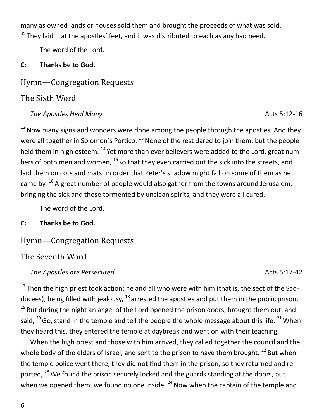many as owned lands or houses sold them and brought the proceeds of what was sold.  $35$  They laid it at the apostles' feet, and it was distributed to each as any had need.

The word of the Lord.

#### **C: Thanks be to God.**

#### Hymn—Congregation Requests

#### The Sixth Word

#### *The Apostles Heal Many Acts* 5:12-16

 $12$  Now many signs and wonders were done among the people through the apostles. And they were all together in Solomon's Portico.  $^{13}$  None of the rest dared to join them, but the people held them in high esteem. <sup>14</sup> Yet more than ever believers were added to the Lord, great numbers of both men and women,  $^{15}$  so that they even carried out the sick into the streets, and laid them on cots and mats, in order that Peter's shadow might fall on some of them as he came by.  $^{16}$  A great number of people would also gather from the towns around Jerusalem, bringing the sick and those tormented by unclean spirits, and they were all cured.

The word of the Lord.

**C: Thanks be to God.**

## Hymn—Congregation Requests

#### The Seventh Word

#### *The Apostles are Persecuted* Acts 5:17-42

 $17$  Then the high priest took action; he and all who were with him (that is, the sect of the Sadducees), being filled with jealousy,  $^{18}$  arrested the apostles and put them in the public prison.  $19$  But during the night an angel of the Lord opened the prison doors, brought them out, and said,  $^{20}$  Go, stand in the temple and tell the people the whole message about this life.  $^{21}$  When they heard this, they entered the temple at daybreak and went on with their teaching.

When the high priest and those with him arrived, they called together the council and the whole body of the elders of Israel, and sent to the prison to have them brought.  $^{22}$  But when the temple police went there, they did not find them in the prison; so they returned and reported,  $^{23}$  We found the prison securely locked and the guards standing at the doors, but when we opened them, we found no one inside.  $24$  Now when the captain of the temple and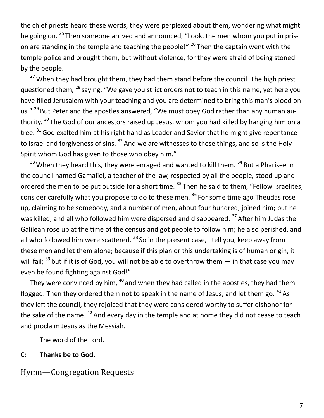the chief priests heard these words, they were perplexed about them, wondering what might be going on. <sup>25</sup> Then someone arrived and announced, "Look, the men whom you put in prison are standing in the temple and teaching the people!"  $^{26}$  Then the captain went with the temple police and brought them, but without violence, for they were afraid of being stoned by the people.

<sup>27</sup> When they had brought them, they had them stand before the council. The high priest questioned them, <sup>28</sup> saying, "We gave you strict orders not to teach in this name, yet here you have filled Jerusalem with your teaching and you are determined to bring this man's blood on us." <sup>29</sup> But Peter and the apostles answered, "We must obey God rather than any human authority. <sup>30</sup> The God of our ancestors raised up Jesus, whom you had killed by hanging him on a tree. <sup>31</sup> God exalted him at his right hand as Leader and Savior that he might give repentance to Israel and forgiveness of sins.  $32$  And we are witnesses to these things, and so is the Holy Spirit whom God has given to those who obey him."

 $33$  When they heard this, they were enraged and wanted to kill them.  $34$  But a Pharisee in the council named Gamaliel, a teacher of the law, respected by all the people, stood up and ordered the men to be put outside for a short time. <sup>35</sup> Then he said to them, "Fellow Israelites, consider carefully what you propose to do to these men.<sup>36</sup> For some time ago Theudas rose up, claiming to be somebody, and a number of men, about four hundred, joined him; but he was killed, and all who followed him were dispersed and disappeared. <sup>37</sup> After him Judas the Galilean rose up at the time of the census and got people to follow him; he also perished, and all who followed him were scattered.  $38$  So in the present case, I tell you, keep away from these men and let them alone; because if this plan or this undertaking is of human origin, it will fail;  $^{39}$  but if it is of God, you will not be able to overthrow them  $-$  in that case you may even be found fighting against God!"

They were convinced by him,  $40$  and when they had called in the apostles, they had them flogged. Then they ordered them not to speak in the name of Jesus, and let them go.  $41\text{ As}$ they left the council, they rejoiced that they were considered worthy to suffer dishonor for the sake of the name.  $42$  And every day in the temple and at home they did not cease to teach and proclaim Jesus as the Messiah.

The word of the Lord.

#### **C: Thanks be to God.**

#### Hymn—Congregation Requests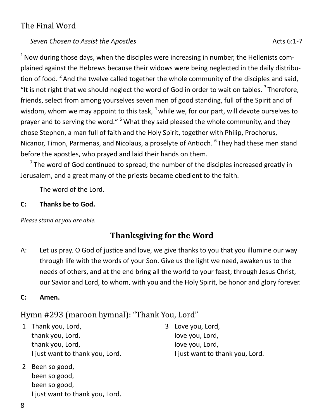## The Final Word

#### **Seven Chosen to Assist the Apostles** Acts 6:1-7

 $1$  Now during those days, when the disciples were increasing in number, the Hellenists complained against the Hebrews because their widows were being neglected in the daily distribution of food. <sup>2</sup> And the twelve called together the whole community of the disciples and said, "It is not right that we should neglect the word of God in order to wait on tables.  $3$  Therefore, friends, select from among yourselves seven men of good standing, full of the Spirit and of wisdom, whom we may appoint to this task,  $<sup>4</sup>$  while we, for our part, will devote ourselves to</sup> prayer and to serving the word." <sup>5</sup> What they said pleased the whole community, and they chose Stephen, a man full of faith and the Holy Spirit, together with Philip, Prochorus, Nicanor, Timon, Parmenas, and Nicolaus, a proselyte of Antioch. <sup>6</sup> They had these men stand before the apostles, who prayed and laid their hands on them.

 $7$ The word of God continued to spread; the number of the disciples increased greatly in Jerusalem, and a great many of the priests became obedient to the faith.

The word of the Lord.

#### **C: Thanks be to God.**

*Please stand as you are able.*

# **Thanksgiving for the Word**

A: Let us pray. O God of justice and love, we give thanks to you that you illumine our way through life with the words of your Son. Give us the light we need, awaken us to the needs of others, and at the end bring all the world to your feast; through Jesus Christ, our Savior and Lord, to whom, with you and the Holy Spirit, be honor and glory forever.

#### **C: Amen.**

# Hymn #293 (maroon hymnal): "Thank You, Lord"

- 1 Thank you, Lord, thank you, Lord, thank you, Lord, I just want to thank you, Lord.
- 2 Been so good, been so good, been so good, I just want to thank you, Lord.
- 3 Love you, Lord, love you, Lord, love you, Lord, I just want to thank you, Lord.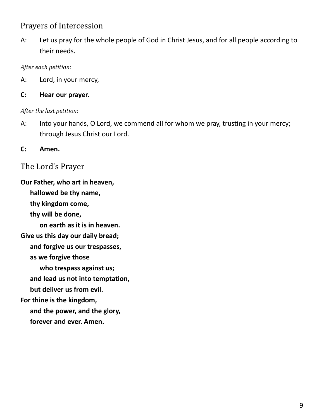## Prayers of Intercession

A: Let us pray for the whole people of God in Christ Jesus, and for all people according to their needs.

#### *After each petition:*

A: Lord, in your mercy,

**C: Hear our prayer.**

#### *After the last petition:*

A: Into your hands, O Lord, we commend all for whom we pray, trusting in your mercy; through Jesus Christ our Lord.

**C: Amen.**

The Lord's Prayer

**Our Father, who art in heaven, hallowed be thy name, thy kingdom come, thy will be done, on earth as it is in heaven. Give us this day our daily bread; and forgive us our trespasses, as we forgive those who trespass against us; and lead us not into temptation, but deliver us from evil. For thine is the kingdom, and the power, and the glory, forever and ever. Amen.**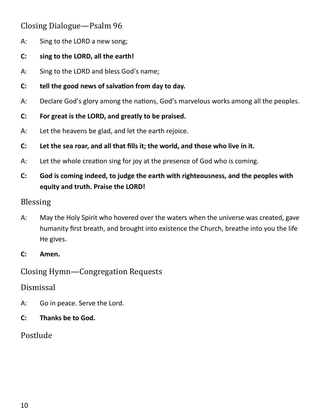# Closing Dialogue—Psalm 96

- A: Sing to the LORD a new song;
- **C: sing to the LORD, all the earth!**
- A: Sing to the LORD and bless God's name;
- **C: tell the good news of salvation from day to day.**
- A: Declare God's glory among the nations, God's marvelous works among all the peoples.
- **C: For great is the LORD, and greatly to be praised.**
- A: Let the heavens be glad, and let the earth rejoice.
- **C: Let the sea roar, and all that fills it; the world, and those who live in it.**
- A: Let the whole creation sing for joy at the presence of God who is coming.
- **C: God is coming indeed, to judge the earth with righteousness, and the peoples with equity and truth. Praise the LORD!**

#### Blessing

- A: May the Holy Spirit who hovered over the waters when the universe was created, gave humanity first breath, and brought into existence the Church, breathe into you the life He gives.
- **C: Amen.**

Closing Hymn—Congregation Requests

#### Dismissal

- A: Go in peace. Serve the Lord.
- **C: Thanks be to God.**

# Postlude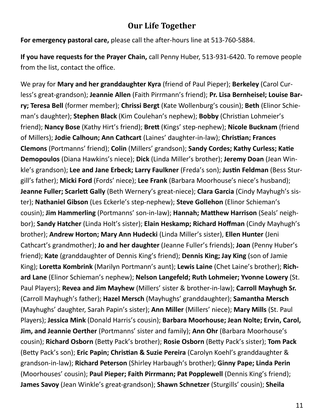## **Our Life Together**

**For emergency pastoral care,** please call the after-hours line at 513-760-5884.

**If you have requests for the Prayer Chain,** call Penny Huber, 513-931-6420. To remove people from the list, contact the office.

We pray for **Mary and her granddaughter Kyra** (friend of Paul Pieper); **Berkeley** (Carol Curless's great-grandson); **Jeannie Allen** (Faith Pirrmann's friend); **Pr. Lisa Bernheisel; Louise Barry; Teresa Bell** (former member); **Chrissi Bergt** (Kate Wollenburg's cousin); **Beth** (Elinor Schieman's daughter); **Stephen Black** (Kim Coulehan's nephew); **Bobby** (Christian Lohmeier's friend); **Nancy Bose** (Kathy Hirt's friend); **Brett** (Kings' step-nephew); **Nicole Bucknam** (friend of Millers); **Jodie Calhoun; Ann Cathcart** (Laines' daughter-in-law); **Christian; Frances Clemons** (Portmanns' friend); **Colin** (Millers' grandson); **Sandy Cordes; Kathy Curless; Katie Demopoulos** (Diana Hawkins's niece); **Dick** (Linda Miller's brother); **Jeremy Doan** (Jean Winkle's grandson); **Lee and Jane Erbeck; Larry Faulkner** (Freda's son); **Justin Feldman** (Bess Sturgill's father); **Micki Ford** (Fords' niece); **Lee Frank** (Barbara Moorhouse's niece's husband); **Jeanne Fuller; Scarlett Gally** (Beth Wernery's great-niece); **Clara Garcia** (Cindy Mayhugh's sister); **Nathaniel Gibson** (Les Eckerle's step-nephew); **Steve Gollehon** (Elinor Schieman's cousin); **Jim Hammerling** (Portmanns' son-in-law); **Hannah; Matthew Harrison** (Seals' neighbor); **Sandy Hatcher** (Linda Holt's sister); **Elain Heskamp; Richard Hoffman** (Cindy Mayhugh's brother); **Andrew Horton; Mary Ann Hudecki** (Linda Miller's sister), **Ellen Hunter** (Jeni Cathcart's grandmother); **Jo and her daughter** (Jeanne Fuller's friends); **Joan** (Penny Huber's friend); **Kate** (granddaughter of Dennis King's friend); **Dennis King; Jay King** (son of Jamie King); **Loretta Kombrink** (Marilyn Portmann's aunt); **Lewis Laine** (Chet Laine's brother); **Richard Lane** (Elinor Schieman's nephew); **Nelson Langefeld; Ruth Lohmeier; Yvonne Lowery** (St. Paul Players); **Revea and Jim Mayhew** (Millers' sister & brother-in-law); **Carroll Mayhugh Sr.**  (Carroll Mayhugh's father); **Hazel Mersch** (Mayhughs' granddaughter); **Samantha Mersch**  (Mayhughs' daughter, Sarah Papin's sister); **Ann Miller** (Millers' niece); **Mary Mills** (St. Paul Players); **Jessica Mink** (Donald Harris's cousin); **Barbara Moorhouse; Jean Nolte; Ervin, Carol, Jim, and Jeannie Oerther** (Portmanns' sister and family); **Ann Ohr** (Barbara Moorhouse's cousin); **Richard Osborn** (Betty Pack's brother); **Rosie Osborn** (Betty Pack's sister); **Tom Pack**  (Betty Pack's son); **Eric Papin; Christian & Suzie Pereira** (Carolyn Koehl's granddaughter & grandson-in-law); **Richard Peterson** (Shirley Harbaugh's brother); **Ginny Pape; Linda Perin**  (Moorhouses' cousin); **Paul Pieper; Faith Pirrmann; Pat Popplewell** (Dennis King's friend); **James Savoy** (Jean Winkle's great-grandson); **Shawn Schnetzer** (Sturgills' cousin); **Sheila**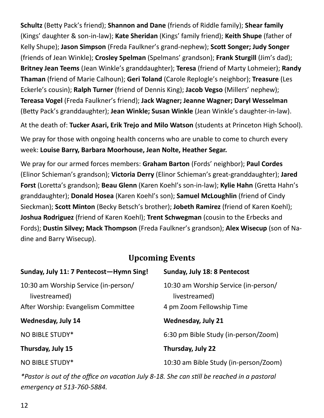**Schultz** (Betty Pack's friend); **Shannon and Dane** (friends of Riddle family); **Shear family**  (Kings' daughter & son-in-law); **Kate Sheridan** (Kings' family friend); **Keith Shupe** (father of Kelly Shupe); **Jason Simpson** (Freda Faulkner's grand-nephew); **Scott Songer; Judy Songer**  (friends of Jean Winkle); **Crosley Spelman** (Spelmans' grandson); **Frank Sturgill** (Jim's dad); **Britney Jean Teems** (Jean Winkle's granddaughter); **Teresa** (friend of Marty Lohmeier); **Randy Thaman** (friend of Marie Calhoun); **Geri Toland** (Carole Replogle's neighbor); **Treasure** (Les Eckerle's cousin); **Ralph Turner** (friend of Dennis King); **Jacob Vegso** (Millers' nephew); **Tereasa Vogel** (Freda Faulkner's friend); **Jack Wagner; Jeanne Wagner; Daryl Wesselman**  (Betty Pack's granddaughter); **Jean Winkle; Susan Winkle** (Jean Winkle's daughter-in-law).

At the death of: **Tucker Asari, Erik Trejo and Milo Watson** (students at Princeton High School).

We pray for those with ongoing health concerns who are unable to come to church every week: **Louise Barry, Barbara Moorhouse, Jean Nolte, Heather Segar.**

We pray for our armed forces members: **Graham Barton** (Fords' neighbor); **Paul Cordes**  (Elinor Schieman's grandson); **Victoria Derry** (Elinor Schieman's great-granddaughter); **Jared Forst** (Loretta's grandson); **Beau Glenn** (Karen Koehl's son-in-law); **Kylie Hahn** (Gretta Hahn's granddaughter); **Donald Hosea** (Karen Koehl's son); **Samuel McLoughlin** (friend of Cindy Sieckman); **Scott Minton** (Becky Betsch's brother); **Jobeth Ramirez** (friend of Karen Koehl); **Joshua Rodriguez** (friend of Karen Koehl); **Trent Schwegman** (cousin to the Erbecks and Fords); **Dustin Silvey; Mack Thompson** (Freda Faulkner's grandson); **Alex Wisecup** (son of Nadine and Barry Wisecup).

# **Upcoming Events**

| Sunday, July 11: 7 Pentecost-Hymn Sing!               | Sunday, July 18: 8 Pentecost                          |
|-------------------------------------------------------|-------------------------------------------------------|
| 10:30 am Worship Service (in-person/<br>livestreamed) | 10:30 am Worship Service (in-person/<br>livestreamed) |
| After Worship: Evangelism Committee                   | 4 pm Zoom Fellowship Time                             |
| <b>Wednesday, July 14</b>                             | <b>Wednesday, July 21</b>                             |
| NO BIBLE STUDY*                                       | 6:30 pm Bible Study (in-person/Zoom)                  |
| Thursday, July 15                                     | Thursday, July 22                                     |
| NO BIBLE STUDY*                                       | 10:30 am Bible Study (in-person/Zoom)                 |

*\*Pastor is out of the office on vacation July 8-18. She can still be reached in a pastoral emergency at 513-760-5884.*